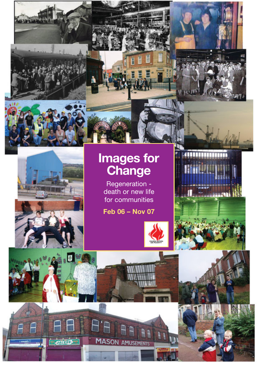

ł. 商

**A**'A

 $\Box$ **MASON AMUSEMENTS** 

**SMS** 

# **Images for Change**

Regeneration death or new life for communities

**Feb 06 – Nov 07**



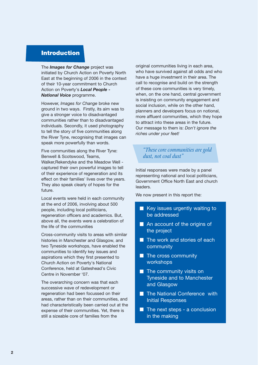# **Introduction**

The *Images for Change* project was initiated by Church Action on Poverty North East at the beginning of 2006 in the context of their 10-year commitment to Church Action on Poverty's *Local People - National Voice* programme.

However, *Images for Change* broke new ground in two ways. Firstly, its aim was to give a stronger voice to disadvantaged communities rather than to disadvantaged individuals. Secondly, it used photography to tell the story of five communities along the River Tyne, recognising that images can speak more powerfully than words.

Five communities along the River Tyne: Benwell & Scotswood, Teams, Walker,Rekendyke and the Meadow Well captured their own powerful images to tell of their experience of regeneration and its effect on their families' lives over the years. They also speak clearly of hopes for the future.

Local events were held in each community at the end of 2006, involving about 500 people, including local politicians, regeneration officers and academics. But, above all, the events were a celebration of the life of the communities

Cross-community visits to areas with similar histories in Manchester and Glasgow, and two Tyneside workshops, have enabled the communities to identify key issues and aspirations which they first presented to Church Action on Poverty's National Conference, held at Gateshead's Civic Centre in November '07.

The overarching concern was that each successive wave of redevelopment or regeneration had been focussed on their areas, rather than on their communities, and had characteristically been carried out at the expense of their communities. Yet, there is still a sizeable core of families from the

original communities living in each area, who have survived against all odds and who have a huge investment in their area. The call to recognise and build on the strength of these core communities is very timely, when, on the one hand, central government is insisting on community engagement and social inclusion, while on the other hand, planners and developers focus on notional, more affluent communities, which they hope to attract into these areas in the future. Our message to them is: *Don't ignore the riches under your feet!*

#### *"These core communities are gold dust, not coal dust"*

Initial responses were made by a panel representing national and local politicians, Government Office North East and church leaders.

We now present in this report the:

- $\blacksquare$  Key issues urgently waiting to be addressed
- An account of the origins of the project
- $\blacksquare$  The work and stories of each community
- $\blacksquare$  The cross community workshops
- $\blacksquare$  The community visits on Tyneside and to Manchester and Glasgow
- **The National Conference with** Initial Responses
- $\blacksquare$  The next steps a conclusion in the making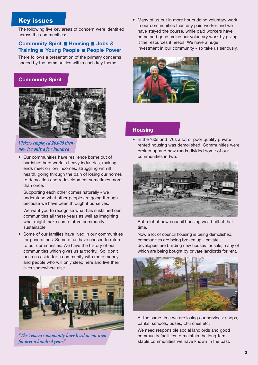# **Key issues**

The following five key areas of concern were identified across the communities:

## **Community Spirit ■ Housing ■ Jobs & Training Young People People Power**

There follows a presentation of the primary concerns shared by the communities within each key theme.

## **Community Spirit**



#### *Vickers employed 20,000 then now it's only a few hundred*

• Our communities have resilience borne out of hardship: hard work in heavy industries, making ends meet on low incomes, struggling with ill health, going through the pain of losing our homes to demolition and redevelopment sometimes more than once.

Supporting each other comes naturally - we understand what other people are going through because we have been through it ourselves. We want you to recognise what has sustained our communities all these years as well as imagining what might make some future community sustainable.

• Some of our families have lived in our communities for generations. Some of us have chosen to return to our communities. We have the history of our communities which gives us authority. So, don't push us aside for a community with more money and people who will only sleep here and live their lives somewhere else.



*"The Yemeni Community have lived in our area for over a hundred years"*

• Many of us put in more hours doing voluntary work in our communities than any paid worker and we have stayed the course, while paid workers have come and gone. Value our voluntary work by giving it the resources it needs. We have a huge investment in our community - so take us seriously.



#### **Housing**

• In the '60s and '70s a lot of poor quality private rented housing was demolished. Communities were broken up and new roads divided some of our communities in two.



But a lot of new council housing was built at that time.

Now a lot of council housing is being demolished, communities are being broken up - private developers are building new houses for sale, many of which are being bought by private landlords for rent.



At the same time we are losing our services: shops, banks, schools, buses, churches etc.

We need responsible social landlords and good community facilities to maintain the long-term stable communities we have known in the past.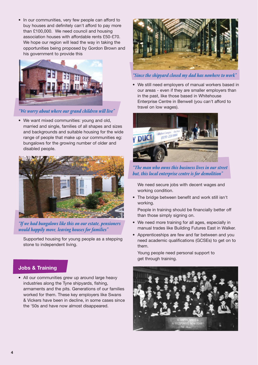• In our communities, very few people can afford to buy houses and definitely can't afford to pay more than £100,000. We need council and housing association houses with affordable rents £50-£70. We hope our region will lead the way in taking the opportunities being proposed by Gordon Brown and his government to provide this



*"We worry about where our grand children will live"*

• We want mixed communities: young and old, married and single, families of all shapes and sizes and backgrounds and suitable housing for the wide range of people that make up our communities eg: bungalows for the growing number of older and disabled people.



*"If we had bungalows like this on our estate, pensioners would happily move, leaving houses for families"*

Supported housing for young people as a stepping stone to independent living.

## **Jobs & Training**

• All our communities grew up around large heavy industries along the Tyne shipyards, fishing, armaments and the pits. Generations of our families worked for them. These key employers like Swans & Vickers have been in decline, in some cases since the '50s and have now almost disappeared.



*"Since the shipyard closed my dad has nowhere to work"*

• We still need employers of manual workers based in our areas - even if they are smaller employers than in the past, like those based in Whitehouse Enterprise Centre in Benwell (you can't afford to travel on low wages).



*"The man who owns this business lives in our street but, this local enterprise centre is for demolition"*

We need secure jobs with decent wages and working condition.

• The bridge between benefit and work still isn't working.

People in training should be financially better off than those simply signing on.

- We need more training for all ages, especially in manual trades like Building Futures East in Walker.
- Apprenticeships are few and far between and you need academic qualifications (GCSEs) to get on to them.

Young people need personal support to get through training.

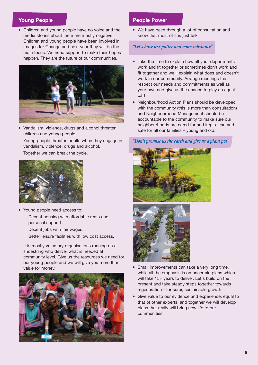## **Young People**

• Children and young people have no voice and the media stories about them are mostly negative. Children and young people have been involved in Images for Change and next year they will be the main focus. We need support to make their hopes happen. They are the future of our communities.



• Vandalism, violence, drugs and alcohol threaten children and young people.

Young people threaten adults when they engage in vandalism, violence, drugs and alcohol.

Together we can break the cycle.



- Young people need access to: Decent housing with affordable rents and personal support.
	- Decent jobs with fair wages.

Better leisure facilities with low cost access.

It is mostly voluntary organisations running on a shoestring who deliver what is needed at community level. Give us the resources we need for our young people and we will give you more than value for money.



#### **People Power**

• We have been through a lot of consultation and know that most of it is just talk.

#### *"Let's have less patter and more substance"*

- Take the time to explain how all your departments work and fit together or sometimes don't work and fit together and we'll explain what does and doesn't work in our community. Arrange meetings that respect our needs and commitments as well as your own and give us the chance to play an equal part.
- Neighbourhood Action Plans should be developed with the community (this is more than consultation) and Neighbourhood Management should be accountable to the community to make sure our neighbourhoods are cared for and kept clean and safe for all our families – young and old.

#### *"Don't promise us the earth and give us a plant pot"*





- Small improvements can take a very long time, while all the emphasis is on uncertain plans which will take 15+ years to deliver. Let's build on the present and take steady steps together towards regeneration - for surer, sustainable growth.
- Give value to our evidence and experience, equal to that of other experts, and together we will develop plans that really will bring new life to our communities.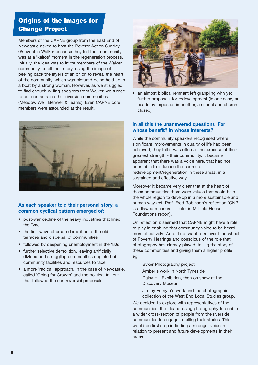# **Origins of the Images for Change Project**

Members of the CAPNE group from the East End of Newcastle asked to host the Poverty Action Sunday 05 event in Walker because they felt their community was at a 'kairos' moment in the regeneration process. Initially, the idea was to invite members of the Walker community to tell their story, using the image of peeling back the layers of an onion to reveal the heart of the community, which was pictured being held up in a boat by a strong woman. However, as we struggled to find enough willing speakers from Walker, we turned to our contacts in other riverside communities (Meadow Well, Benwell & Teams). Even CAPNE core members were astounded at the result.



#### **As each speaker told their personal story, a common cyclical pattern emerged of:**

- post-war decline of the heavy industries that lined the Tyne
- the first wave of crude demolition of the old terraces and dispersal of communities
- followed by deepening unemployment in the '80s
- further selective demolition, leaving artificially divided and struggling communities depleted of community facilities and resources to face
- a more 'radical' approach, in the case of Newcastle, called 'Going for Growth' and the political fall out that followed the controversial proposals



• an almost biblical remnant left grappling with yet further proposals for redevelopment (in one case, an academy imposed; in another, a school and church closed).

#### **In all this the unanswered questions 'For whose benefit? In whose interests?'**

While the community speakers recognised where significant improvements in quality of life had been achieved, they felt it was often at the expense of their greatest strength - their community. It became apparent that there was a voice here, that had not been able to influence the course of redevelopment/regeneration in these areas, in a sustained and effective way.

Moreover it became very clear that at the heart of these communities there were values that could help the whole region to develop in a more sustainable and human way (ref. Prof. Fred Robinson's reflection 'GNP is a flawed measure….. etc. in Millfield House Foundations report).

On reflection it seemed that CAPNE might have a role to play in enabling that community voice to be heard more effectively. We did not want to reinvent the wheel of Poverty Hearings and conscious of the role that photography has already played; telling the story of these communities and giving them a higher profile eg:

Byker Photography project

Amber's work in North Tyneside

Daisy Hill Exhibition, then on show at the Discovery Museum

Jimmy Forsyth's work and the photographic collection of the West End Local Studies group.

We decided to explore with representatives of the communities, the idea of using photography to enable a wider cross-section of people from the riverside communities to engage in telling their stories. This would be first step in finding a stronger voice in relation to present and future developments in their areas.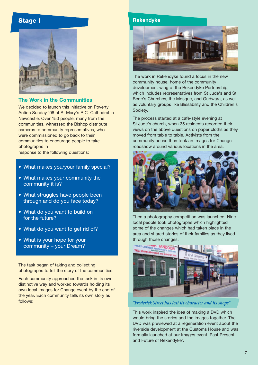# **Stage I**



#### **The Work in the Communities**

We decided to launch this initiative on Poverty Action Sunday '06 at St Mary's R.C. Cathedral in Newcastle. Over 150 people, many from the communities, witnessed the Bishop distribute cameras to community representatives, who were commissioned to go back to their communities to encourage people to take photographs in

response to the following questions:

- What makes you/your family special?
- What makes your community the community it is?
- What struggles have people been through and do you face today?
- What do you want to build on for the future?
- What do you want to get rid of?
- What is your hope for your community – your Dream?

The task began of taking and collecting photographs to tell the story of the communities.

Each community approached the task in its own distinctive way and worked towards holding its own local Images for Change event by the end of the year. Each community tells its own story as follows:





The work in Rekendyke found a focus in the new community house, home of the community development wing of the Rekendyke Partnership, which includes representatives from St Jude's and St Bede's Churches, the Mosque, and Gudwara, as well as voluntary groups like Blissability and the Children's Society.

The process started at a café-style evening at St Jude's church, when 35 residents recorded their views on the above questions on paper cloths as they moved from table to table. Activists from the community house then took an Images for Change roadshow around various locations in the area.



Then a photography competition was launched. Nine local people took photographs which highlighted some of the changes which had taken place in the area and shared stories of their families as they lived through those changes.



#### *"Frederick Street has lost its character and its shops"*

This work inspired the idea of making a DVD which would bring the stories and the images together. The DVD was previewed at a regeneration event about the riverside development at the Customs House and was formally launched at our Images event 'Past Present and Future of Rekendyke'.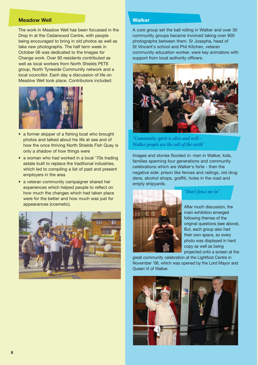### **Meadow Well**

The work in Meadow Well has been focussed in the Drop In at the Cedarwood Centre, with people being encouraged to bring in old photos as well as take new photographs. The half term week in October 06 was dedicated to the Images for Change work. Over 90 residents contributed as well as local workers from North Shields PETE group, North Tyneside Community network and a local councillor. Each day a discussion of life on Meadow Well took place. Contributors included:



- a former skipper of a fishing boat who brought photos and talked about his life at sea and of how the once thriving North Shields Fish Quay is only a shadow of how things were
- a woman who had worked in a local '70s trading estate built to replace the traditional industries, which led to compiling a list of past and present employers in the area
- a veteran community campaigner shared her experiences which helped people to reflect on how much the changes which had taken place were for the better and how much was just for appearances (cosmetic).



#### **Walker**

A core group set the ball rolling in Walker and over 30 community groups became involved taking over 900 photographs between them. Sr Josepha, head of St Vincent's school and Phil Kitchen, veteran community education worker, were key animators with support from local authority officers.



*"Community spirit is alive and well – Walker people are the salt of the earth"*

Images and stories flooded in: men in Walker, kids, families spanning four generations and community celebrations which are Walker's forte - then the negative side: prison like fences and railings, old drug dens, alcohol shops, graffiti, holes in the road and empty shipyards.



*"Don't fence me in"*

After much discussion, the main exhibition emerged following themes of the original questions (see above). But, each group also had their own space, so every photo was displayed in hard copy as well as being projected onto a screen at the

great community celebration at the Lightfoot Centre in November '06, which was opened by the Lord Mayor and Queen Vi of Walker.

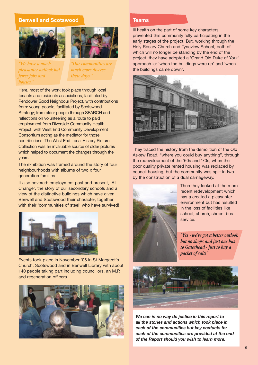### **Benwell and Scotswood**





*"We have a much "Our communities are pleasanter outlook but much more diverse fewer jobs and houses."*

Here, most of the work took place through local tenants and residents associations, facilitated by Pendower Good Neighbour Project, with contributions from: young people, facilitated by Scotswood Strategy; from older people through SEARCH and reflections on volunteering as a route to paid employment from Riverside Community Health Project, with West End Community Development Consortium acting as the mediator for those contributions. The West End Local History Picture Collection was an invaluable source of older pictures which helped to document the changes through the years.

The exhibition was framed around the story of four neighbourhoods with albums of two x four generation families.

It also covered: employment past and present, 'All Change', the story of our secondary schools and a view of the distinctive buildings which have given Benwell and Scotswood their character, together with their 'communities of steel' who have survived!



Events took place in November '06 in St Margaret's Church, Scotswood and in Benwell Library with about 140 people taking part including councillors, an M.P. and regeneration officers.



#### **Teams**

Ill health on the part of some key characters prevented this community fully participating in the early stages of the project. But, working through the Holy Rosary Church and Tyneview School, both of which will no longer be standing by the end of the project, they have adopted a 'Grand Old Duke of York' approach ie: 'when the buildings were up' and 'when the buildings came down'.



They traced the history from the demolition of the Old Askew Road, "where you could buy anything", through the redevelopment of the '60s and '70s, when the poor quality private rented housing was replaced by council housing, but the community was split in two by the construction of a dual carriageway.



Then they looked at the more recent redevelopment which has a created a pleasanter environment but has resulted in the loss of facilities like school, church, shops, bus service.

*"Yes - we've got a better outlook but no shops and just one bus to Gateshead - just to buy a packet of salt!"*



*We can in no way do justice in this report to all the stories and actions which took place in each of the communities but key contacts for each of the communities are provided at the end of the Report should you wish to learn more.*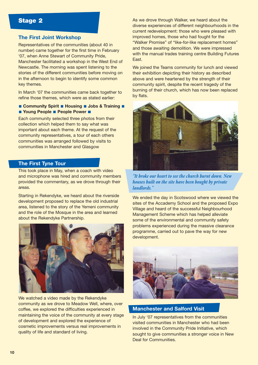# **Stage 2**

## **The First Joint Workshop**

Representatives of the communities (about 40 in number) came together for the first time in February '07, when Anne Stewart of Community Pride, Manchester facilitated a workshop in the West End of Newcastle. The morning was spent listening to the stories of the different communities before moving on in the afternoon to begin to identify some common key themes.

In March '07 the communities came back together to refine those themes, which were as stated earlier:

■ Community Spirit ■ Housing ■ Jobs & Training ■ ■ Young People ■ People Power ■

Each community selected three photos from their collection which helped them to say what was important about each theme. At the request of the community representatives, a tour of each others communities was arranged followed by visits to communities in Manchester and Glasgow

## **The First Tyne Tour**

This took place in May, when a coach with video and microphone was hired and community members provided the commentary, as we drove through their areas.

Starting in Rekendyke, we heard about the riverside development proposed to replace the old industrial area, listened to the story of the Yemeni community and the role of the Mosque in the area and learned about the Rekendyke Partnership.



We watched a video made by the Rekendyke community as we drove to Meadow Well, where, over coffee, we explored the difficulties experienced in maintaining the voice of the community at every stage of development and explored the experience of cosmetic improvements versus real improvements in quality of life and standard of living.

As we drove through Walker, we heard about the diverse experiences of different neighbourhoods in the current redevelopment: those who were pleased with improved homes, those who had fought for the "Walker Promise" of "like-for-like replacement homes" and those awaiting demolition. We were impressed with the manual trades training centre Building Futures East.

We joined the Teams community for lunch and viewed their exhibition depicting their history as described above and were heartened by the strength of their community spirit, despite the recent tragedy of the burning of their church, which has now been replaced by flats.



*"It broke our heart to see the church burnt down. New houses built on the site have been bought by private landlords."*

We ended the day in Scotswood where we viewed the sites of the Accademy School and the proposed Expo Village and heard of the successful Neighbourhood Management Scheme which has helped alleviate some of the environmental and community safety problems experienced during the massive clearance programme, carried out to pave the way for new development.



**Manchester and Salford Visit**

In July '07 representatives from the communities visited communities in Manchester who had been involved in the Community Pride Initiative, which sought to give communities a stronger voice in New Deal for Communities.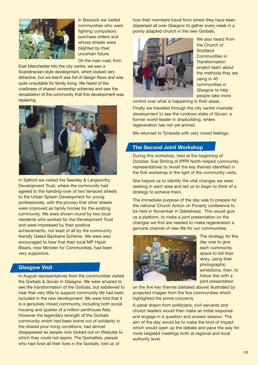

In Beswick we visited communities who were fighting compulsory purchase orders and whose streets were blighted by their uncertain future.

On the main road, from

East Manchester into the city centre, we saw a Scandinavian-style development, which looked very attractive, but we learnt was full of design flaws and was quite unsuitable for family living. We heard of the costliness of shared ownership schemes and saw the devastation of the community that this development was replacing.



In Salford we visited the Seedley & Langworthy Development Trust, where the community had agreed to the handing-over of two terraced streets to the Urban Splash Development for young professionals, with the proviso that other streets were improved as family homes for the existing community. We were shown round by two local residents who worked for the Development Trust and were impressed by their positive achievements, not least of all by the community friendly Gated Backlane Scheme. We were also encouraged to hear that their local MP Hazel Blears, now Minister for Communities, had been very supportive.

## **Glasgow Visit**

In August representatives from the communities visited the Gorbals & Govan in Glasgow. We were amazed to see the transformation of the Gorbals, but saddened to hear that very little to support community life had been included in the new development. We were told that it is a genuinely mixed community, including both social housing and quarter of a million penthouse flats. However the legendary strength of the Gorbals community which had been borne out of solidarity in the shared poor living conditions, had almost disappeared as people now looked out on lifestyles to which they could not aspire. The Gorbalites, people who had lived all their lives in the Gorbals, told us of

how their members travel from where they have been dispersed all over Glasgow to gather every week in a poorly adapted church in the new Gorbals.



We also heard from the Church of Scotland Communities in Transformation project team about the methods they are using in 40 communities in Glasgow to help people take more

control over what is happening in their areas.

Finally we travelled through the city centre riverside development to see the rundown state of Govan, a former world-leader in shipbuilding, where regeneration has not yet arrived.

We returned to Tyneside with very mixed feelings.

#### **The Second Joint Workshop**

During this workshop, held at the beginning of October, Sue Stirling of IPPR North helped community representatives to revisit the key themes identified in the first workshop in the light of the community visits.

She helped us to identify the vital changes we were seeking in each area and led us to begin to think of a strategy to achieve them.

The immediate purpose of the day was to prepare for the national Church Action on Poverty conference to be held in November in Gateshead. This would give us a platform, to make a joint presentation on the changes we find are needed to make regeneration a genuine channel of new life for our communities.



The strategy for the day was to give each community space to tell their story, using their photographic exhibitions, then, to follow this with a joint presentation

on the five key themes (detailed above) illustrated by projected images from the five communities which highlighted the prime concerns.

A panel drawn from politicians, civil servants and church leaders would then make an initial response and engage in a question and answer session. The aim of the day would be to make the kind of impact which would open up the debate and pave the way for more targeted meetings both at regional and local authority level.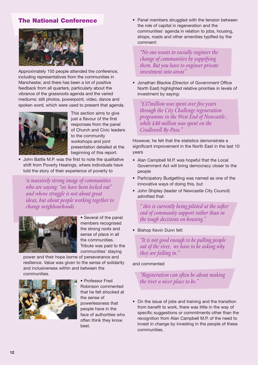## **The National Conference**



Approximately 150 people attended the conference, including representatives from the communities in Manchester, and there has been a lot of positive feedback from all quarters, particularly about the vibrance of the grassroots agenda and the varied mediums: still photos, powerpoint, video, dance and spoken word, which were used to present that agenda.



This section aims to give just a flavour of the first responses from the panel of Church and Civic leaders to the community workshops and joint presentation detailed at the beginning of this report.

• John Battle M.P. was the first to note the qualitative shift from Poverty Hearings, where individuals have told the story of their experience of poverty to

*'a massively strong image of communities who are saying: "we have been locked out" and whose struggle is not about great ideas, but about people working together to change neighbourhoods* 



• Several of the panel members recognised the strong roots and sense of place in all the communities. Tribute was paid to the communities' staying

power and their hope borne of perseverance and resilience. Value was given to the sense of solidarity and inclusiveness within and between the communities.



• Professor Fred Robinson commented that he felt shocked at the sense of powerlessness that people have in the face of authorities who often think they know best.

• Panel members struggled with the tension between the role of capital in regeneration and the communities' agenda in relation to jobs, housing, shops, roads and other amenities typified by the comment:

*"No one wants to socially engineer the change of communities by yuppifying them. But you have to engineer private investment into areas"*

• Jonathan Blackie (Director of Government Office North East) highlighted relative priorities in levels of investment by saying:

*"£37million was spent over five years through the City Challenge regeneration programme in the West End of Newcastle , while £40 million was spent on the Cradlewell By-Pass."* 

However, he felt that the statistics demonstrate a significant improvement in the North East in the last 10 years

- Alan Campbell M.P. was hopeful that the Local Government Act will bring democracy closer to the people
- Participatory Budgetting was named as one of the innovative ways of doing this, but
- John Shipley (leader of Newcastle City Council) admitted that:

*" this is currently being piloted at the softer end of community support rather than in the tough decisions on housing."*

• Bishop Kevin Dunn felt:

*"It is not good enough to be pulling people out of the river, we have to be asking why they are falling in."*

#### and commented

*"Regeneration can often be about making the river a nicer place to be."*

• On the issue of jobs and training and the transition from benefit to work, there was little in the way of specific suggestions or commitments other than the recognition from Alan Campbell M.P. of the need to invest in change by investing in the people of these communities.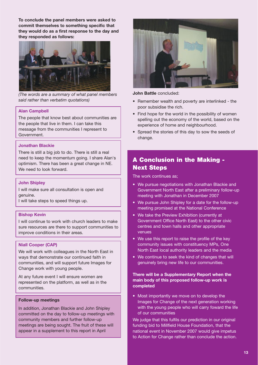**To conclude the panel members were asked to commit themselves to something specific that they would do as a first response to the day and they responded as follows:**



*(The words are a summary of what panel members said rather than verbatim quotations)*

#### **Alan Campbell**

The people that know best about communities are the people that live in them. I can take this message from the communities I represent to Government.

#### **Jonathan Blackie**

There is still a big job to do. There is still a real need to keep the momentum going. I share Alan's optimism. There has been a great change in NE. We need to look forward.

#### **John Shipley**

I will make sure all consultation is open and genuine.

I will take steps to speed things up.

### **Bishop Kevin**

I will continue to work with church leaders to make sure resources are there to support communities to improve conditions in their areas.

#### **Niall Cooper (CAP)**

We will work with colleagues in the North East in ways that demonstrate our continued faith in communities, and will support future Images for Change work with young people.

At any future event I will ensure women are represented on the platform, as well as in the communities.

#### **Follow-up meetings**

In addition, Jonathan Blackie and John Shipley committed on the day to follow-up meetings with community members and further follow-up meetings are being sought. The fruit of these will appear in a supplement to this report in April



**John Battle** concluded:

- Remember wealth and poverty are interlinked the poor subsidise the rich.
- Find hope for the world in the possibility of women spelling out the economy of the world, based on the experience of home and neighbourhood.
- Spread the stories of this day to sow the seeds of change.

# **A Conclusion in the Making - Next Steps**

The work continues as;

- We pursue negotiations with Jonathan Blackie and Government North East after a preliminary follow-up meeting with Jonathan in December 2007
- We pursue John Shipley for a date for the follow-up meeting promised at the National Conference
- We take the Preview Exhibition (currently at Government Office North East) to the other civic centres and town halls and other appropriate venues
- We use this report to raise the profile of the key community issues with constituency MPs, One North East local authority leaders and the media
- We continue to seek the kind of changes that will genuinely bring new life to our communities.

#### **There will be a Supplementary Report when the main body of this proposed follow-up work is completed**

• Most importantly we move on to develop the Images for Change of the next generation working with the young people who will carry foward the life of our communities

We judge that this fulfils our prediction in our original funding bid to Millfield House Foundation, that the national event in November 2007 would give impetus to Action for Change rather than conclude the action.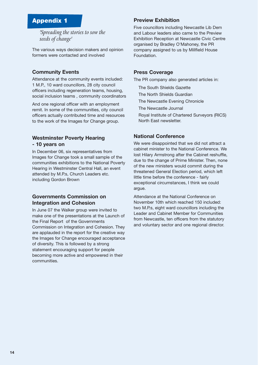# **Appendix 1**

*'Spreading the stories to sow the seeds of change'*

The various ways decision makers and opinion formers were contacted and involved

#### **Community Events**

Attendance at the community events included: 1 M.P., 10 ward councillors, 28 city council officers including regeneration teams, housing, social inclusion teams , community coordinators

And one regional officer with an employment remit. In some of the communities, city council officers actually contributed time and resources to the work of the Images for Change group.

# **Westminster Poverty Hearing**

#### **- 10 years on**

In December 06, six representatives from Images for Change took a small sample of the communities exhibitions to the National Poverty Hearing in Westminster Central Hall, an event attended by M.P.s, Church Leaders etc. including Gordon Brown

## **Governments Commission on Integration and Cohesion**

In June 07 the Walker group were invited to make one of the presentations at the Launch of the Final Report of the Governments Commission on Integration and Cohesion. They are applauded in the report for the creative way the Images for Change encouraged acceptance of diversity. This is followed by a strong statement encouraging support for people becoming more active and empowered in their communities.

## **Preview Exhibition**

Five councillors including Newcastle Lib Dem and Labour leaders also came to the Preview Exhibition Reception at Newcastle Civic Centre organised by Bradley O'Mahoney, the PR company assigned to us by Millfield House Foundation.

#### **Press Coverage**

The PR company also generated articles in:

The South Shields Gazette

The North Shields Guardian

The Newcastle Evening Chronicle

The Newcastle Journal

Royal Institute of Chartered Surveyors (RICS) North East newsletter.

#### **National Conference**

We were disappointed that we did not attract a cabinet minister to the National Conference. We lost Hilary Armstrong after the Cabinet reshuffle, due to the change of Prime Minister. Then, none of the new ministers would commit during the threatened General Election period, which left little time before the conference - fairly exceptional circumstances, I think we could argue.

Attendance at the National Conference on November 10th which reached 150 included: two M.P.s, eight ward councillors including the Leader and Cabinet Member for Communities from Newcastle, ten officers from the statutory and voluntary sector and one regional director.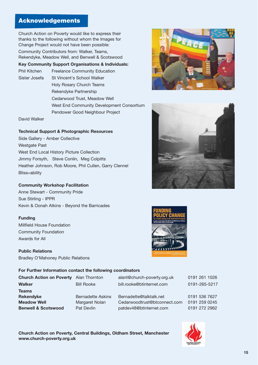Church Action on Poverty would like to express their thanks to the following without whom the Images for Change Project would not have been possible:

Community Contributors from: Walker, Teams, Rekendyke, Meadow Well, and Benwell & Scotswood

**Key Community Support Organisations & Individuals:**

Phil Kitchen Freelance Community Education Sister Josefa St Vincent's School Walker Holy Rosary Church Teams

Rekendyke Partnership

Cedarwood Trust, Meadow Well

West End Community Development Consortium

Pendower Good Neighbour Project

David Walker

## **Technical Support & Photographic Resources**

Side Gallery - Amber Collective Westgate Past West End Local History Picture Collection Jimmy Forsyth, Steve Conlin, Meg Colpitts Heather Johnson, Rob Moore, Phil Cullen, Garry Clennel Bliss=ability

## **Community Workshop Facilitation**

Anne Stewart - Community Pride Sue Stirling - IPPR Kevin & Oonah Atkins - Beyond the Barricades

## **Funding**

Millfield House Foundation Community Foundation Awards for All

**Public Relations** Bradley O'Mahoney Public Relations





#### **For Further Information contact the following coordinators**

| Church Action on Poverty Alan Thornton |                          | alant@church-poverty.org.uk  | 0191 261 1026 |
|----------------------------------------|--------------------------|------------------------------|---------------|
| Walker                                 | <b>Bill Rooke</b>        | bill.rooke@btinternet.com    | 0191-265-5217 |
| Teams                                  |                          |                              |               |
| Rekendyke                              | <b>Bernadette Askins</b> | Bernadette@talktalk.net      | 0191 536 7627 |
| <b>Meadow Well</b>                     | Margaret Nolan           | Cedarwoodtrust@btconnect.com | 0191 259 0245 |
| <b>Benwell &amp; Scotswood</b>         | Pat Devlin               | patdev48@btinternet.com      | 0191 272 2962 |
|                                        |                          |                              |               |

**Church Action on Poverty, Central Buildings, Oldham Street, Manchester www.church-poverty.org.uk**